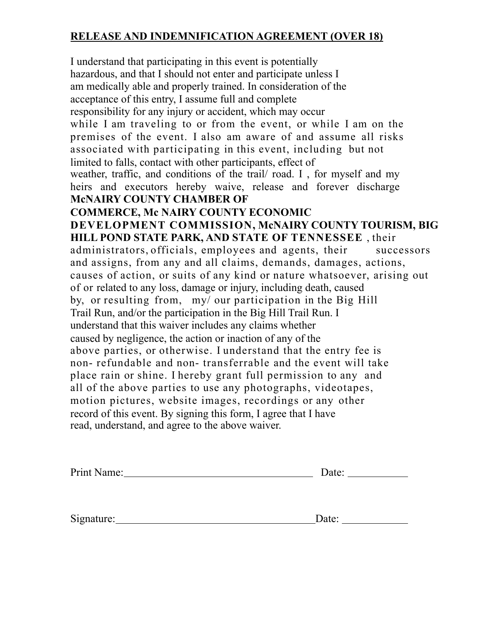## **RELEASE AND INDEMNIFICATION AGREEMENT (OVER 18)**

I understand that participating in this event is potentially hazardous, and that I should not enter and participate unless I am medically able and properly trained. In consideration of the acceptance of this entry, I assume full and complete responsibility for any injury or accident, which may occur while I am traveling to or from the event, or while I am on the premises of the event. I also am aware of and assume all risks associated with participating in this event, including but not limited to falls, contact with other participants, effect of weather, traffic, and conditions of the trail/ road. I , for myself and my heirs and executors hereby waive, release and forever discharge **McNAIRY COUNTY CHAMBER OF COMMERCE, Mc NAIRY COUNTY ECONOMIC DEVELOPMENT COMMISSION, McNAIRY COUNTY TOURISM, BIG HILL POND STATE PARK, AND STATE OF TENNESSEE** , their administrators, officials, employees and agents, their successors and assigns, from any and all claims, demands, damages, actions, causes of action, or suits of any kind or nature whatsoever, arising out of or related to any loss, damage or injury, including death, caused by, or resulting from, my/ our participation in the Big Hill Trail Run, and/or the participation in the Big Hill Trail Run. I understand that this waiver includes any claims whether caused by negligence, the action or inaction of any of the above parties, or otherwise. I understand that the entry fee is non- refundable and non- transferrable and the event will take place rain or shine. I hereby grant full permission to any and all of the above parties to use any photographs, videotapes, motion pictures, website images, recordings or any other record of this event. By signing this form, I agree that I have read, understand, and agree to the above waiver.

| Print Name: | Date: |
|-------------|-------|
|             |       |
|             |       |
| Signature:  | Date: |